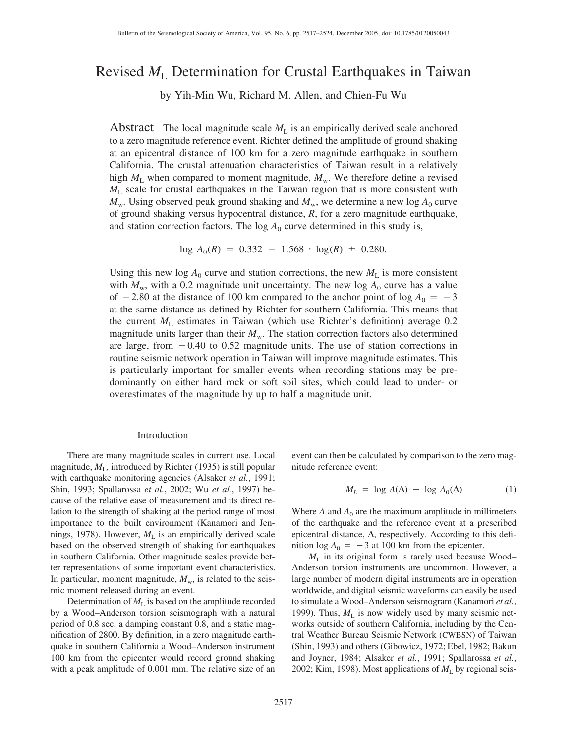# Revised *M*<sup>L</sup> Determination for Crustal Earthquakes in Taiwan

by Yih-Min Wu, Richard M. Allen, and Chien-Fu Wu

Abstract The local magnitude scale  $M_L$  is an empirically derived scale anchored to a zero magnitude reference event. Richter defined the amplitude of ground shaking at an epicentral distance of 100 km for a zero magnitude earthquake in southern California. The crustal attenuation characteristics of Taiwan result in a relatively high  $M_L$  when compared to moment magnitude,  $M_w$ . We therefore define a revised *M*<sup>L</sup> scale for crustal earthquakes in the Taiwan region that is more consistent with  $M<sub>w</sub>$ . Using observed peak ground shaking and  $M<sub>w</sub>$ , we determine a new log  $A<sub>0</sub>$  curve of ground shaking versus hypocentral distance, *R*, for a zero magnitude earthquake, and station correction factors. The  $log A_0$  curve determined in this study is,

 $log A_0(R) = 0.332 - 1.568 \cdot log(R) \pm 0.280.$ 

Using this new  $\log A_0$  curve and station corrections, the new  $M_L$  is more consistent with  $M_w$ , with a 0.2 magnitude unit uncertainty. The new log  $A_0$  curve has a value of  $-2.80$  at the distance of 100 km compared to the anchor point of log  $A_0 = -3$ at the same distance as defined by Richter for southern California. This means that the current  $M<sub>L</sub>$  estimates in Taiwan (which use Richter's definition) average 0.2 magnitude units larger than their  $M_{\rm w}$ . The station correction factors also determined are large, from  $-0.40$  to 0.52 magnitude units. The use of station corrections in routine seismic network operation in Taiwan will improve magnitude estimates. This is particularly important for smaller events when recording stations may be predominantly on either hard rock or soft soil sites, which could lead to under- or overestimates of the magnitude by up to half a magnitude unit.

## Introduction

There are many magnitude scales in current use. Local magnitude,  $M_{\text{L}}$ , introduced by Richter (1935) is still popular with earthquake monitoring agencies (Alsaker *et al.*, 1991; Shin, 1993; Spallarossa *et al.*, 2002; Wu *et al.*, 1997) because of the relative ease of measurement and its direct relation to the strength of shaking at the period range of most importance to the built environment (Kanamori and Jennings, 1978). However,  $M<sub>L</sub>$  is an empirically derived scale based on the observed strength of shaking for earthquakes in southern California. Other magnitude scales provide better representations of some important event characteristics. In particular, moment magnitude,  $M_{\rm w}$ , is related to the seismic moment released during an event.

Determination of  $M<sub>L</sub>$  is based on the amplitude recorded by a Wood–Anderson torsion seismograph with a natural period of 0.8 sec, a damping constant 0.8, and a static magnification of 2800. By definition, in a zero magnitude earthquake in southern California a Wood–Anderson instrument 100 km from the epicenter would record ground shaking with a peak amplitude of 0.001 mm. The relative size of an

event can then be calculated by comparison to the zero magnitude reference event:

$$
M_L = \log A(\Delta) - \log A_0(\Delta) \tag{1}
$$

Where  $A$  and  $A_0$  are the maximum amplitude in millimeters of the earthquake and the reference event at a prescribed epicentral distance,  $\Delta$ , respectively. According to this definition  $\log A_0 = -3$  at 100 km from the epicenter.

*M*<sup>L</sup> in its original form is rarely used because Wood– Anderson torsion instruments are uncommon. However, a large number of modern digital instruments are in operation worldwide, and digital seismic waveforms can easily be used to simulate a Wood–Anderson seismogram (Kanamori *et al.*, 1999). Thus,  $M<sub>L</sub>$  is now widely used by many seismic networks outside of southern California, including by the Central Weather Bureau Seismic Network (CWBSN) of Taiwan (Shin, 1993) and others (Gibowicz, 1972; Ebel, 1982; Bakun and Joyner, 1984; Alsaker *et al.*, 1991; Spallarossa *et al.*, 2002; Kim, 1998). Most applications of  $M<sub>L</sub>$  by regional seis-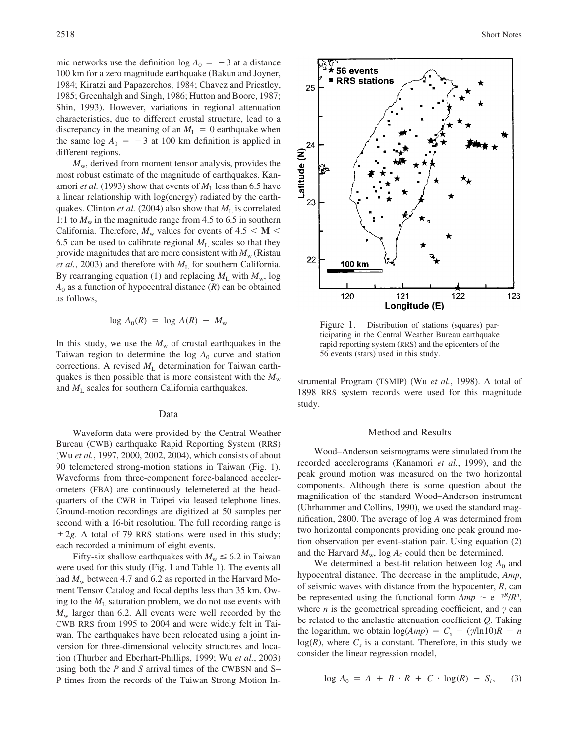mic networks use the definition  $log A_0 = -3$  at a distance 100 km for a zero magnitude earthquake (Bakun and Joyner, 1984; Kiratzi and Papazerchos, 1984; Chavez and Priestley, 1985; Greenhalgh and Singh, 1986; Hutton and Boore, 1987; Shin, 1993). However, variations in regional attenuation characteristics, due to different crustal structure, lead to a discrepancy in the meaning of an  $M<sub>L</sub> = 0$  earthquake when the same  $log A_0 = -3$  at 100 km definition is applied in different regions.

 $M_{\rm w}$ , derived from moment tensor analysis, provides the most robust estimate of the magnitude of earthquakes. Kanamori *et al.* (1993) show that events of  $M<sub>L</sub>$  less than 6.5 have a linear relationship with log(energy) radiated by the earthquakes. Clinton *et al.* (2004) also show that  $M<sub>L</sub>$  is correlated 1:1 to  $M_{\rm w}$  in the magnitude range from 4.5 to 6.5 in southern California. Therefore,  $M_w$  values for events of 4.5  $\lt M \lt M$ 6.5 can be used to calibrate regional  $M<sub>L</sub>$  scales so that they provide magnitudes that are more consistent with  $M_{\rm w}$  (Ristau *et al.*, 2003) and therefore with  $M<sub>L</sub>$  for southern California. By rearranging equation (1) and replacing  $M_L$  with  $M_w$ , log  $A_0$  as a function of hypocentral distance  $(R)$  can be obtained as follows,

$$
\log A_0(R) = \log A(R) - M_{\rm w}
$$

In this study, we use the  $M_w$  of crustal earthquakes in the Taiwan region to determine the  $log A_0$  curve and station corrections. A revised  $M<sub>L</sub>$  determination for Taiwan earthquakes is then possible that is more consistent with the  $M_{\rm w}$ and  $M_{\rm L}$  scales for southern California earthquakes.

## Data

Waveform data were provided by the Central Weather Bureau (CWB) earthquake Rapid Reporting System (RRS) (Wu *et al.*, 1997, 2000, 2002, 2004), which consists of about 90 telemetered strong-motion stations in Taiwan (Fig. 1). Waveforms from three-component force-balanced accelerometers (FBA) are continuously telemetered at the headquarters of the CWB in Taipei via leased telephone lines. Ground-motion recordings are digitized at 50 samples per second with a 16-bit resolution. The full recording range is  $\pm 2g$ . A total of 79 RRS stations were used in this study; each recorded a minimum of eight events.

Fifty-six shallow earthquakes with  $M_w \leq 6.2$  in Taiwan were used for this study (Fig. 1 and Table 1). The events all had  $M_w$  between 4.7 and 6.2 as reported in the Harvard Moment Tensor Catalog and focal depths less than 35 km. Owing to the  $M_L$  saturation problem, we do not use events with  $M_{\rm w}$  larger than 6.2. All events were well recorded by the CWB RRS from 1995 to 2004 and were widely felt in Taiwan. The earthquakes have been relocated using a joint inversion for three-dimensional velocity structures and location (Thurber and Eberhart-Phillips, 1999; Wu *et al.*, 2003) using both the *P* and *S* arrival times of the CWBSN and S– P times from the records of the Taiwan Strong Motion In-



Figure 1. Distribution of stations (squares) participating in the Central Weather Bureau earthquake rapid reporting system (RRS) and the epicenters of the 56 events (stars) used in this study.

strumental Program (TSMIP) (Wu *et al.*, 1998). A total of 1898 RRS system records were used for this magnitude study.

### Method and Results

Wood–Anderson seismograms were simulated from the recorded accelerograms (Kanamori *et al.*, 1999), and the peak ground motion was measured on the two horizontal components. Although there is some question about the magnification of the standard Wood–Anderson instrument (Uhrhammer and Collins, 1990), we used the standard magnification, 2800. The average of log *A* was determined from two horizontal components providing one peak ground motion observation per event–station pair. Using equation (2) and the Harvard  $M_w$ , log  $A_0$  could then be determined.

We determined a best-fit relation between  $\log A_0$  and hypocentral distance. The decrease in the amplitude, *Amp*, of seismic waves with distance from the hypocenter, *R*, can be represented using the functional form  $Amp \sim e^{-\gamma R}/R^n$ , where  $n$  is the geometrical spreading coefficient, and  $\gamma$  can be related to the anelastic attenuation coefficient *Q*. Taking the logarithm, we obtain  $log(Amp) = C_s - (\gamma/ln10)R - n$  $log(R)$ , where  $C<sub>s</sub>$  is a constant. Therefore, in this study we consider the linear regression model,

$$
\log A_0 = A + B \cdot R + C \cdot \log(R) - S_i, \quad (3)
$$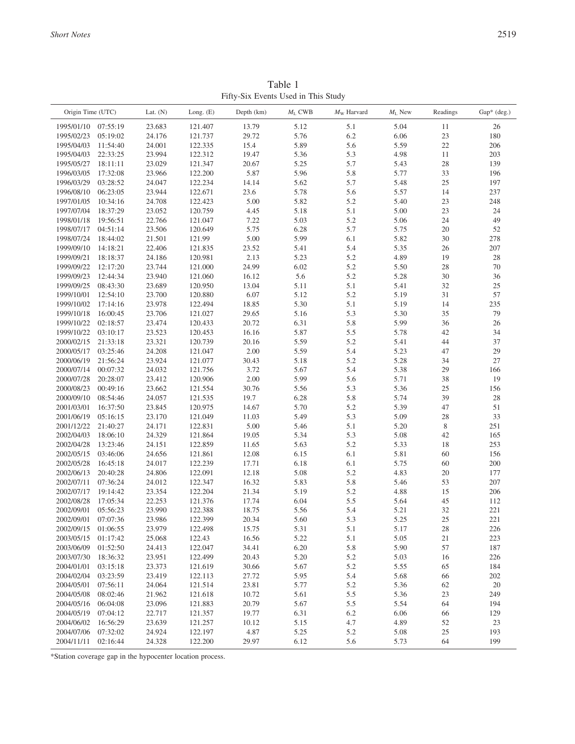| Origin Time (UTC)   |                      | Lat. $(N)$ | Long. $(E)$ | Depth (km) | $M_{\rm L}$ CWB | $M_{\rm W}$ Harvard | $M_L$ New | Readings    | Gap* (deg.) |
|---------------------|----------------------|------------|-------------|------------|-----------------|---------------------|-----------|-------------|-------------|
| 1995/01/10          | 07:55:19             | 23.683     | 121.407     | 13.79      | 5.12            | 5.1                 | 5.04      | 11          | 26          |
| 1995/02/23          | 05:19:02             | 24.176     | 121.737     | 29.72      | 5.76            | 6.2                 | 6.06      | 23          | 180         |
| 1995/04/03          | 11:54:40             | 24.001     | 122.335     | 15.4       | 5.89            | 5.6                 | 5.59      | $22\,$      | 206         |
| 1995/04/03          | 22:33:25             | 23.994     | 122.312     | 19.47      | 5.36            | 5.3                 | 4.98      | 11          | 203         |
| 1995/05/27          | 18:11:11             | 23.029     | 121.347     | 20.67      | 5.25            | 5.7                 | 5.43      | 28          | 139         |
| 1996/03/05          | 17:32:08             | 23.966     | 122.200     | 5.87       | 5.96            | 5.8                 | 5.77      | 33          | 196         |
| 1996/03/29          | 03:28:52             | 24.047     | 122.234     | 14.14      | 5.62            | 5.7                 | 5.48      | 25          | 197         |
| 1996/08/10          | 06:23:05             | 23.944     | 122.671     | 23.6       | 5.78            |                     | 5.57      | 14          | 237         |
|                     |                      | 24.708     |             |            |                 | 5.6                 |           |             |             |
| 1997/01/05          | 10:34:16             |            | 122.423     | 5.00       | 5.82            | 5.2                 | 5.40      | 23          | 248         |
| 1997/07/04          | 18:37:29             | 23.052     | 120.759     | 4.45       | 5.18            | 5.1                 | 5.00      | 23          | 24          |
| 1998/01/18          | 19:56:51             | 22.766     | 121.047     | 7.22       | 5.03            | 5.2                 | 5.06      | 24          | 49          |
| 1998/07/17          | 04:51:14             | 23.506     | 120.649     | 5.75       | 6.28            | 5.7                 | 5.75      | 20          | 52          |
| 1998/07/24          | 18:44:02             | 21.501     | 121.99      | 5.00       | 5.99            | 6.1                 | 5.82      | 30          | 278         |
| 1999/09/10          | 14:18:21             | 22.406     | 121.835     | 23.52      | 5.41            | 5.4                 | 5.35      | 26          | 207         |
| 1999/09/21          | 18:18:37             | 24.186     | 120.981     | 2.13       | 5.23            | 5.2                 | 4.89      | 19          | $28\,$      |
| 1999/09/22          | 12:17:20             | 23.744     | 121.000     | 24.99      | 6.02            | 5.2                 | 5.50      | 28          | $70\,$      |
| 1999/09/23          | 12:44:34             | 23.940     | 121.060     | 16.12      | 5.6             | 5.2                 | 5.28      | $30\,$      | 36          |
| 1999/09/25          | 08:43:30             | 23.689     | 120.950     | 13.04      | 5.11            | 5.1                 | 5.41      | 32          | $25\,$      |
| 1999/10/01          | 12:54:10             | 23.700     | 120.880     | 6.07       | 5.12            | 5.2                 | 5.19      | 31          | 57          |
| 1999/10/02          | 17:14:16             | 23.978     | 122.494     | 18.85      | 5.30            | 5.1                 | 5.19      | 14          | 235         |
| 1999/10/18          | 16:00:45             | 23.706     | 121.027     | 29.65      | 5.16            | 5.3                 | 5.30      | 35          | 79          |
| 1999/10/22          | 02:18:57             | 23.474     | 120.433     | 20.72      | 6.31            | 5.8                 | 5.99      | 36          | 26          |
| 1999/10/22          | 03:10:17             | 23.523     | 120.453     | 16.16      | 5.87            | 5.5                 | 5.78      | 42          | 34          |
| 2000/02/15          | 21:33:18             | 23.321     | 120.739     | 20.16      | 5.59            | 5.2                 | 5.41      | 44          | 37          |
| 2000/05/17          | 03:25:46             | 24.208     | 121.047     | 2.00       | 5.59            | 5.4                 | 5.23      | 47          | 29          |
| 2000/06/19          | 21:56:24             | 23.924     | 121.077     | 30.43      | 5.18            | 5.2                 | 5.28      | 34          | $27\,$      |
| 2000/07/14          | 00:07:32             | 24.032     | 121.756     | 3.72       | 5.67            | 5.4                 | 5.38      | 29          | 166         |
| 2000/07/28          | 20:28:07             | 23.412     | 120.906     | 2.00       | 5.99            | 5.6                 | 5.71      | 38          | 19          |
| 2000/08/23          | 00:49:16             | 23.662     | 121.554     | 30.76      | 5.56            | 5.3                 | 5.36      | 25          | 156         |
| 2000/09/10          | 08:54:46             | 24.057     | 121.535     | 19.7       | 6.28            | 5.8                 | 5.74      | 39          | $28\,$      |
| 2001/03/01          | 16:37:50             | 23.845     | 120.975     | 14.67      | 5.70            | 5.2                 | 5.39      | 47          | $51\,$      |
| 2001/06/19          | 05:16:15             | 23.170     | 121.049     | 11.03      | 5.49            | 5.3                 | 5.09      | 28          | 33          |
| 2001/12/22          | 21:40:27             | 24.171     | 122.831     | 5.00       | 5.46            | 5.1                 | 5.20      | $\,$ 8 $\,$ | 251         |
| 2002/04/03          | 18:06:10             | 24.329     | 121.864     | 19.05      | 5.34            | 5.3                 | 5.08      | 42          | 165         |
| 2002/04/28          | 13:23:46             | 24.151     | 122.859     | 11.65      | 5.63            | 5.2                 | 5.33      | 18          | 253         |
| 2002/05/15          | 03:46:06             | 24.656     | 121.861     | 12.08      | 6.15            | 6.1                 | 5.81      | 60          | 156         |
| 2002/05/28          | 16:45:18             | 24.017     | 122.239     | 17.71      | 6.18            | 6.1                 | 5.75      | 60          | $200\,$     |
| 2002/06/13          | 20:40:28             | 24.806     | 122.091     | 12.18      | 5.08            | 5.2                 | 4.83      | 20          | 177         |
| 2002/07/11          | 07:36:24             | 24.012     | 122.347     | 16.32      | 5.83            | 5.8                 | 5.46      | 53          | $207\,$     |
| 2002/07/17          | 19:14:42             | 23.354     | 122.204     | 21.34      | 5.19            | 5.2                 | 4.88      | 15          | 206         |
| 2002/08/28          | 17:05:34             | 22.253     | 121.376     | 17.74      | 6.04            | 5.5                 | 5.64      | 45          | 112         |
| 2002/09/01          | 05:56:23             | 23.990     | 122.388     | 18.75      | 5.56            | 5.4                 | 5.21      | 32          | 221         |
| 2002/09/01          | 07:07:36             | 23.986     | 122.399     | 20.34      | 5.60            | 5.3                 | 5.25      | 25          | 221         |
| 2002/09/15 01:06:55 |                      | 23.979     | 122.498     | 15.75      | 5.31            | 5.1                 | 5.17      | 28          | 226         |
| 2003/05/15          | 01:17:42             | 25.068     | 122.43      | 16.56      | 5.22            | 5.1                 | 5.05      | 21          | 223         |
| 2003/06/09          | 01:52:50             | 24.413     | 122.047     | 34.41      | 6.20            | 5.8                 | 5.90      | 57          | 187         |
| 2003/07/30          | 18:36:32             | 23.951     | 122.499     | 20.43      | 5.20            | 5.2                 | 5.03      | 16          | 226         |
| 2004/01/01          | 03:15:18             | 23.373     | 121.619     | 30.66      | 5.67            | 5.2                 | 5.55      | 65          | 184         |
| 2004/02/04          | 03:23:59             | 23.419     | 122.113     | 27.72      | 5.95            | 5.4                 | 5.68      | 66          | $202\,$     |
| 2004/05/01          | 07:56:11             | 24.064     | 121.514     | 23.81      | 5.77            | 5.2                 | 5.36      | 62          | $20\,$      |
| 2004/05/08          | 08:02:46             | 21.962     | 121.618     | 10.72      | 5.61            | 5.5                 | 5.36      | 23          | 249         |
| 2004/05/16          | 06:04:08             | 23.096     | 121.883     | 20.79      | 5.67            | 5.5                 | 5.54      | 64          | 194         |
|                     | 07:04:12             |            |             |            |                 |                     |           |             |             |
| 2004/05/19          |                      | 22.717     | 121.357     | 19.77      | 6.31            | 6.2                 | 6.06      | 66          | 129         |
| 2004/06/02          | 16:56:29<br>07:32:02 | 23.639     | 121.257     | 10.12      | 5.15            | 4.7                 | 4.89      | 52          | 23          |
| 2004/07/06          |                      | 24.924     | 122.197     | 4.87       | 5.25            | 5.2                 | 5.08      | 25          | 193         |
| 2004/11/11          | 02:16:44             | 24.328     | 122.200     | 29.97      | 6.12            | 5.6                 | 5.73      | 64          | 199         |

Table 1 Fifty-Six Events Used in This Study

\*Station coverage gap in the hypocenter location process.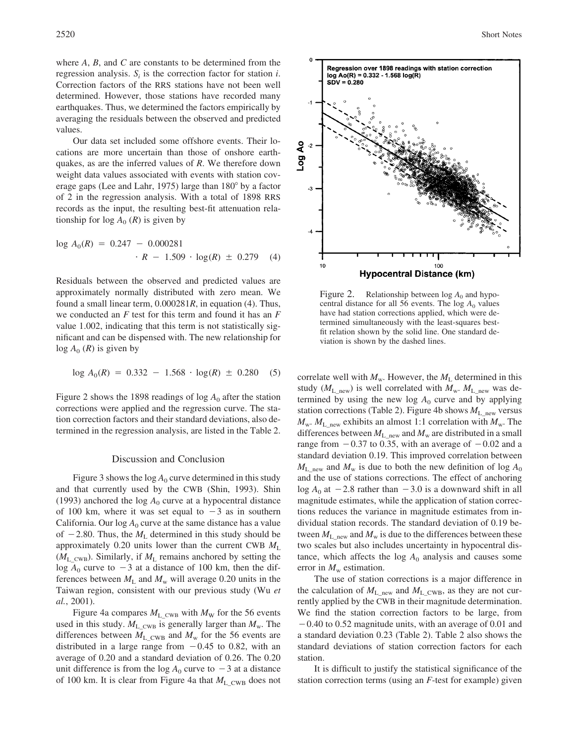where *A*, *B*, and *C* are constants to be determined from the regression analysis. *Si* is the correction factor for station *i*. Correction factors of the RRS stations have not been well determined. However, those stations have recorded many earthquakes. Thus, we determined the factors empirically by averaging the residuals between the observed and predicted values.

Our data set included some offshore events. Their locations are more uncertain than those of onshore earthquakes, as are the inferred values of *R*. We therefore down weight data values associated with events with station coverage gaps (Lee and Lahr, 1975) large than  $180^\circ$  by a factor of 2 in the regression analysis. With a total of 1898 RRS records as the input, the resulting best-fit attenuation relationship for  $log A_0$  (*R*) is given by

$$
\log A_0(R) = 0.247 - 0.000281
$$
  
•  $R - 1.509 \cdot \log(R) \pm 0.279$  (4)

Residuals between the observed and predicted values are approximately normally distributed with zero mean. We found a small linear term, 0.000281*R*, in equation (4). Thus, we conducted an *F* test for this term and found it has an *F* value 1.002, indicating that this term is not statistically significant and can be dispensed with. The new relationship for  $log A_0$  (*R*) is given by

$$
\log A_0(R) = 0.332 - 1.568 \cdot \log(R) \pm 0.280 \quad (5)
$$

Figure 2 shows the 1898 readings of  $\log A_0$  after the station corrections were applied and the regression curve. The station correction factors and their standard deviations, also determined in the regression analysis, are listed in the Table 2.

## Discussion and Conclusion

Figure 3 shows the  $log A_0$  curve determined in this study and that currently used by the CWB (Shin, 1993). Shin (1993) anchored the  $log A_0$  curve at a hypocentral distance of 100 km, where it was set equal to  $-3$  as in southern California. Our  $\log A_0$  curve at the same distance has a value of  $-2.80$ . Thus, the  $M<sub>L</sub>$  determined in this study should be approximately 0.20 units lower than the current CWB *M*<sup>L</sup>  $(M_L_{CWB})$ . Similarly, if  $M_L$  remains anchored by setting the log  $A_0$  curve to  $-3$  at a distance of 100 km, then the differences between  $M_L$  and  $M_w$  will average 0.20 units in the Taiwan region, consistent with our previous study (Wu *et al.*, 2001).

Figure 4a compares  $M_{L_{\text{cWB}}}$  with  $M_{\text{W}}$  for the 56 events used in this study.  $M_{L_{\text{CWB}}}$  is generally larger than  $M_{\text{w}}$ . The differences between  $M_{\rm L\ CWB}$  and  $M_{\rm w}$  for the 56 events are distributed in a large range from  $-0.45$  to 0.82, with an average of 0.20 and a standard deviation of 0.26. The 0.20 unit difference is from the  $log A_0$  curve to  $-3$  at a distance of 100 km. It is clear from Figure 4a that  $M_{\rm L\,\,CWB}$  does not



Figure 2. Relationship between  $log A_0$  and hypocentral distance for all 56 events. The  $log A_0$  values have had station corrections applied, which were determined simultaneously with the least-squares bestfit relation shown by the solid line. One standard deviation is shown by the dashed lines.

correlate well with  $M_w$ . However, the  $M_L$  determined in this study ( $M_{\text{L}}$ <sub>new</sub>) is well correlated with  $M_{\text{w}}$ .  $M_{\text{L}}$ <sub>new</sub> was determined by using the new log  $A_0$  curve and by applying station corrections (Table 2). Figure 4b shows  $M_{L_{\text{new}}}$  versus  $M_w$ .  $M_{L_{\text{new}}}$  exhibits an almost 1:1 correlation with  $M_w$ . The differences between  $M_{\text{L}}$ <sub>new</sub> and  $M_{\text{w}}$  are distributed in a small range from  $-0.37$  to 0.35, with an average of  $-0.02$  and a standard deviation 0.19. This improved correlation between  $M_{\text{L}}$ <sub>new</sub> and  $M_{\text{w}}$  is due to both the new definition of log  $A_0$ and the use of stations corrections. The effect of anchoring  $log A_0$  at  $-2.8$  rather than  $-3.0$  is a downward shift in all magnitude estimates, while the application of station corrections reduces the variance in magnitude estimates from individual station records. The standard deviation of 0.19 between  $M_{\text{L}}$ <sub>new</sub> and  $M_{\text{w}}$  is due to the differences between these two scales but also includes uncertainty in hypocentral distance, which affects the  $log A_0$  analysis and causes some error in  $M_{\rm w}$  estimation.

The use of station corrections is a major difference in the calculation of  $M_{L_{\text{new}}}$  and  $M_{L_{\text{cWB}}}$ , as they are not currently applied by the CWB in their magnitude determination. We find the station correction factors to be large, from -0.40 to 0.52 magnitude units, with an average of 0.01 and a standard deviation 0.23 (Table 2). Table 2 also shows the standard deviations of station correction factors for each station.

It is difficult to justify the statistical significance of the station correction terms (using an *F*-test for example) given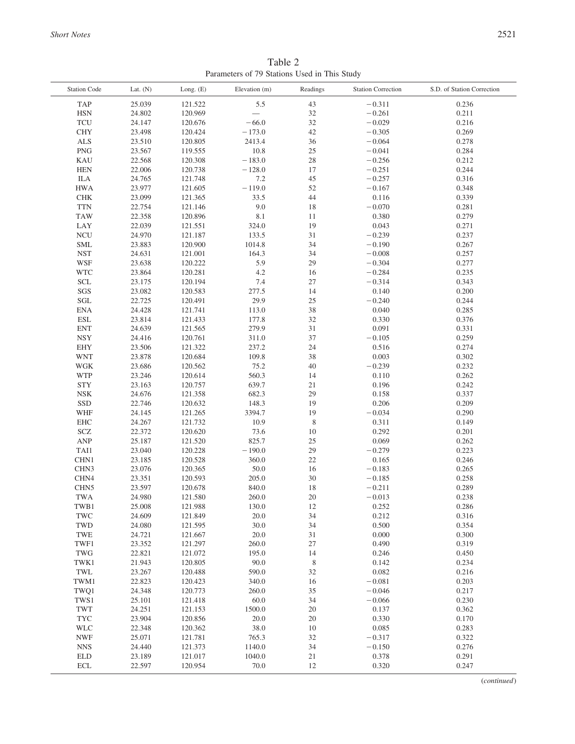Table 2 Parameters of 79 Stations Used in This Study

| <b>Station Code</b>            | Lat. $(N)$       | Long. $(E)$        | Elevation (m)  | Readings    | <b>Station Correction</b> | S.D. of Station Correction |
|--------------------------------|------------------|--------------------|----------------|-------------|---------------------------|----------------------------|
| TAP                            | 25.039           | 121.522            | 5.5            | 43          | $-0.311$                  | 0.236                      |
| <b>HSN</b>                     | 24.802           | 120.969            |                | 32          | $-0.261$                  | 0.211                      |
| <b>TCU</b>                     | 24.147           | 120.676            | $-66.0$        | 32          | $-0.029$                  | 0.216                      |
| <b>CHY</b>                     | 23.498           | 120.424            | $-173.0$       | 42          | $-0.305$                  | 0.269                      |
| $\mbox{ALS}$                   | 23.510           | 120.805            | 2413.4         | 36          | $-0.064$                  | 0.278                      |
| <b>PNG</b>                     | 23.567           | 119.555            | 10.8           | $25\,$      | $-0.041$                  | 0.284                      |
| <b>KAU</b>                     | 22.568           | 120.308            | $-183.0$       | $28\,$      | $-0.256$                  | 0.212                      |
| <b>HEN</b>                     | 22.006           | 120.738            | $-128.0$       | 17          | $-0.251$                  | 0.244                      |
| ILA                            | 24.765           | 121.748            | 7.2            | 45          | $-0.257$                  | 0.316                      |
| <b>HWA</b>                     | 23.977           | 121.605            | $-119.0$       | 52          | $-0.167$                  | 0.348                      |
| <b>CHK</b>                     | 23.099           | 121.365            | 33.5           | 44          | 0.116                     | 0.339                      |
| <b>TTN</b>                     | 22.754           | 121.146            | 9.0            | 18          | $-0.070$                  | 0.281                      |
| <b>TAW</b>                     | 22.358           | 120.896            | 8.1            | 11          | 0.380                     | 0.279                      |
| LAY                            | 22.039           | 121.551            | 324.0          | 19          | 0.043                     | 0.271                      |
| <b>NCU</b>                     | 24.970           | 121.187            | 133.5          | 31          | $-0.239$                  | 0.237                      |
| <b>SML</b>                     | 23.883           | 120.900            | 1014.8         | 34          | $-0.190$                  | 0.267                      |
| <b>NST</b>                     | 24.631           | 121.001            | 164.3          | 34          | $-0.008$                  | 0.257                      |
| WSF                            | 23.638           | 120.222            | 5.9            | 29          | $-0.304$                  | 0.277                      |
| <b>WTC</b>                     | 23.864           | 120.281            | 4.2            | 16          | $-0.284$                  | 0.235                      |
| <b>SCL</b>                     | 23.175           | 120.194            | 7.4            | 27          | $-0.314$                  | 0.343                      |
| SGS                            | 23.082           | 120.583            | 277.5          | 14          | 0.140                     | 0.200                      |
| $\operatorname{\mathbf{SGL}}$  | 22.725           | 120.491            | 29.9           | 25          | $-0.240$                  | 0.244                      |
| $\rm ENA$                      | 24.428           | 121.741            | 113.0          | 38          | 0.040                     | 0.285                      |
| ESL                            | 23.814           | 121.433            | 177.8          | 32          | 0.330                     | 0.376                      |
| <b>ENT</b>                     | 24.639           | 121.565            | 279.9          | 31          | 0.091                     | 0.331                      |
| <b>NSY</b>                     |                  |                    | 311.0          | 37          | $-0.105$                  | 0.259                      |
| <b>EHY</b>                     | 24.416<br>23.506 | 120.761<br>121.322 | 237.2          | 24          | 0.516                     | 0.274                      |
| <b>WNT</b>                     | 23.878           | 120.684            |                | 38          | 0.003                     | 0.302                      |
|                                |                  |                    | 109.8          |             |                           |                            |
| WGK<br><b>WTP</b>              | 23.686           | 120.562            | 75.2<br>560.3  | 40<br>14    | $-0.239$                  | 0.232                      |
|                                | 23.246           | 120.614            |                |             | 0.110                     | 0.262                      |
| <b>STY</b><br><b>NSK</b>       | 23.163<br>24.676 | 120.757            | 639.7<br>682.3 | 21<br>29    | 0.196<br>0.158            | 0.242<br>0.337             |
| $\rm SSD$                      | 22.746           | 121.358<br>120.632 | 148.3          | 19          | 0.206                     | 0.209                      |
| <b>WHF</b>                     |                  |                    | 3394.7         | 19          | $-0.034$                  |                            |
| EHC                            | 24.145<br>24.267 | 121.265<br>121.732 | 10.9           | $\,$ 8 $\,$ | 0.311                     | 0.290<br>0.149             |
|                                | 22.372           | 120.620            |                |             | 0.292                     | 0.201                      |
| SCZ<br><b>ANP</b>              |                  |                    | 73.6<br>825.7  | 10<br>25    | 0.069                     |                            |
|                                | 25.187           | 121.520            |                |             |                           | 0.262                      |
| TAI1<br>CHN1                   | 23.040<br>23.185 | 120.228<br>120.528 | $-190.0$       | 29<br>22    | $-0.279$<br>0.165         | 0.223<br>0.246             |
|                                |                  |                    | 360.0<br>50.0  | 16          |                           | 0.265                      |
| CHN <sub>3</sub><br>CHN4       | 23.076<br>23.351 | 120.365            | 205.0          | 30          | $-0.183$<br>$-0.185$      | 0.258                      |
|                                | 23.597           | 120.593<br>120.678 | 840.0          |             |                           | 0.289                      |
| CHN <sub>5</sub><br><b>TWA</b> | 24.980           |                    | 260.0          | 18<br>20    | $-0.211$                  | 0.238                      |
|                                |                  | 121.580            |                | 12          | $-0.013$                  | 0.286                      |
| TWB1<br>TWC                    | 25.008<br>24.609 | 121.988<br>121.849 | 130.0<br>20.0  | 34          | 0.252<br>0.212            | 0.316                      |
| TWD                            |                  |                    | 30.0           | 34          | 0.500                     | 0.354                      |
| TWE                            | 24.080<br>24.721 | 121.595<br>121.667 | 20.0           | 31          | 0.000                     | 0.300                      |
|                                | 23.352           |                    |                |             | 0.490                     | 0.319                      |
| TWF1                           |                  | 121.297            | 260.0          | $27\,$      |                           |                            |
| TWG                            | 22.821           | 121.072            | 195.0          | 14          | 0.246                     | 0.450                      |
| TWK1                           | 21.943           | 120.805            | 90.0           | $\,$ 8 $\,$ | 0.142                     | 0.234                      |
| TWL                            | 23.267           | 120.488            | 590.0          | 32          | 0.082                     | 0.216                      |
| TWM1                           | 22.823           | 120.423            | 340.0          | 16          | $-0.081$                  | 0.203                      |
| TWQ1                           | 24.348           | 120.773            | 260.0          | 35          | $-0.046$                  | 0.217                      |
| TWS1                           | 25.101           | 121.418            | 60.0           | 34          | $-0.066$                  | 0.230                      |
| TWT                            | 24.251           | 121.153            | 1500.0         | 20          | 0.137                     | 0.362                      |
| <b>TYC</b>                     | 23.904           | 120.856            | 20.0           | 20          | 0.330                     | 0.170                      |
| <b>WLC</b>                     | 22.348           | 120.362            | 38.0           | 10          | 0.085                     | 0.283                      |
| <b>NWF</b>                     | 25.071           | 121.781            | 765.3          | 32          | $-0.317$                  | 0.322                      |
| <b>NNS</b>                     | 24.440           | 121.373            | 1140.0         | 34          | $-0.150$                  | 0.276                      |
| <b>ELD</b>                     | 23.189           | 121.017            | 1040.0         | 21          | 0.378                     | 0.291                      |
| $\operatorname{ECL}$           | 22.597           | 120.954            | 70.0           | $12\,$      | 0.320                     | 0.247                      |

(*continued*)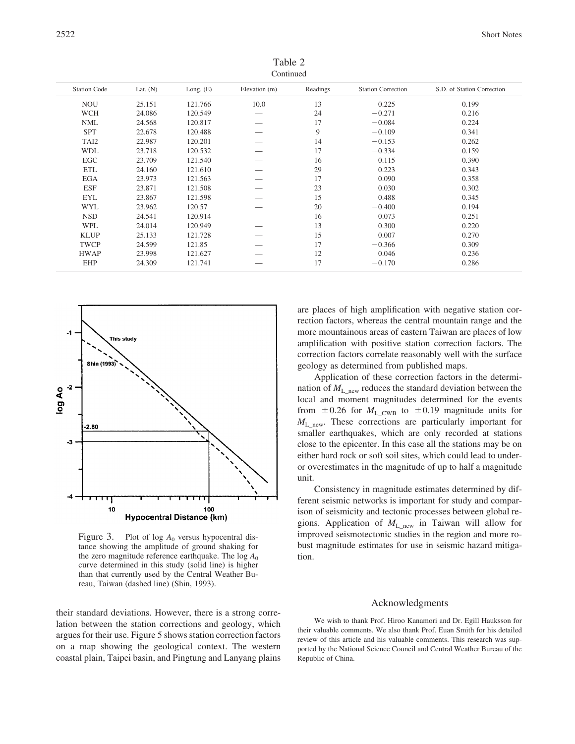Table 2 Continued

| <b>Station Code</b> | Lat. $(N)$ | Long. $(E)$ | Elevation (m) | Readings | <b>Station Correction</b> | S.D. of Station Correction |
|---------------------|------------|-------------|---------------|----------|---------------------------|----------------------------|
| <b>NOU</b>          | 25.151     | 121.766     | 10.0          | 13       | 0.225                     | 0.199                      |
| <b>WCH</b>          | 24.086     | 120.549     |               | 24       | $-0.271$                  | 0.216                      |
| <b>NML</b>          | 24.568     | 120.817     |               | 17       | $-0.084$                  | 0.224                      |
| <b>SPT</b>          | 22.678     | 120.488     |               | 9        | $-0.109$                  | 0.341                      |
| TAI2                | 22.987     | 120.201     |               | 14       | $-0.153$                  | 0.262                      |
| <b>WDL</b>          | 23.718     | 120.532     |               | 17       | $-0.334$                  | 0.159                      |
| EGC                 | 23.709     | 121.540     |               | 16       | 0.115                     | 0.390                      |
| <b>ETL</b>          | 24.160     | 121.610     |               | 29       | 0.223                     | 0.343                      |
| <b>EGA</b>          | 23.973     | 121.563     |               | 17       | 0.090                     | 0.358                      |
| <b>ESF</b>          | 23.871     | 121.508     |               | 23       | 0.030                     | 0.302                      |
| <b>EYL</b>          | 23.867     | 121.598     |               | 15       | 0.488                     | 0.345                      |
| <b>WYL</b>          | 23.962     | 120.57      |               | 20       | $-0.400$                  | 0.194                      |
| <b>NSD</b>          | 24.541     | 120.914     |               | 16       | 0.073                     | 0.251                      |
| <b>WPL</b>          | 24.014     | 120.949     |               | 13       | 0.300                     | 0.220                      |
| <b>KLUP</b>         | 25.133     | 121.728     |               | 15       | 0.007                     | 0.270                      |
| <b>TWCP</b>         | 24.599     | 121.85      |               | 17       | $-0.366$                  | 0.309                      |
| <b>HWAP</b>         | 23.998     | 121.627     |               | 12       | 0.046                     | 0.236                      |
| EHP                 | 24.309     | 121.741     |               | 17       | $-0.170$                  | 0.286                      |



Figure 3. Plot of  $log A_0$  versus hypocentral distance showing the amplitude of ground shaking for the zero magnitude reference earthquake. The  $log A_0$ curve determined in this study (solid line) is higher than that currently used by the Central Weather Bureau, Taiwan (dashed line) (Shin, 1993).

their standard deviations. However, there is a strong correlation between the station corrections and geology, which argues for their use. Figure 5 shows station correction factors on a map showing the geological context. The western coastal plain, Taipei basin, and Pingtung and Lanyang plains are places of high amplification with negative station correction factors, whereas the central mountain range and the more mountainous areas of eastern Taiwan are places of low amplification with positive station correction factors. The correction factors correlate reasonably well with the surface geology as determined from published maps.

Application of these correction factors in the determination of  $M_{\text{L\_new}}$  reduces the standard deviation between the local and moment magnitudes determined for the events from  $\pm 0.26$  for  $M_{\text{L\_CWB}}$  to  $\pm 0.19$  magnitude units for  $M_{\text{L}}$ <sub>new</sub>. These corrections are particularly important for smaller earthquakes, which are only recorded at stations close to the epicenter. In this case all the stations may be on either hard rock or soft soil sites, which could lead to underor overestimates in the magnitude of up to half a magnitude unit.

Consistency in magnitude estimates determined by different seismic networks is important for study and comparison of seismicity and tectonic processes between global regions. Application of  $M_{\text{L}}$ <sub>new</sub> in Taiwan will allow for improved seismotectonic studies in the region and more robust magnitude estimates for use in seismic hazard mitigation.

# Acknowledgments

We wish to thank Prof. Hiroo Kanamori and Dr. Egill Hauksson for their valuable comments. We also thank Prof. Euan Smith for his detailed review of this article and his valuable comments. This research was supported by the National Science Council and Central Weather Bureau of the Republic of China.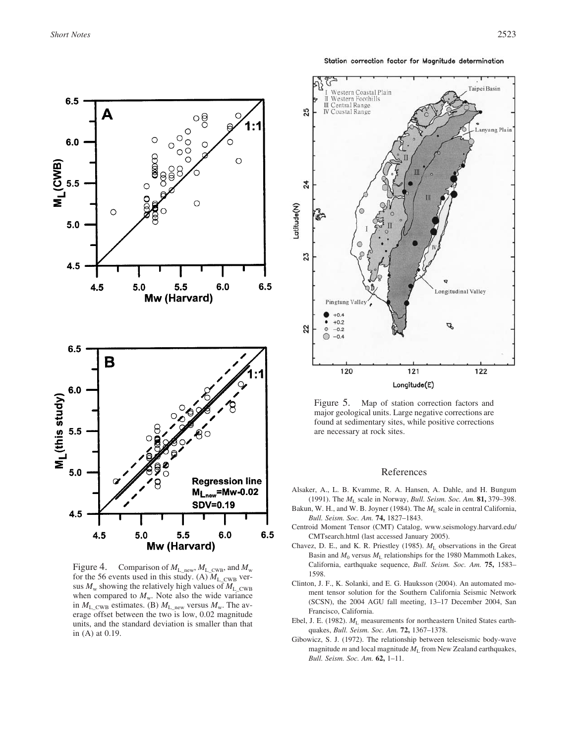Station correction factor for Magnitude determination



Figure 4. Comparison of  $M_{L_{\text{new}}}$ ,  $M_{L_{\text{cW}}}$ , and  $M_{w}$ for the 56 events used in this study. (A)  $M_{\rm L,CWB}$  versus  $M_w$  showing the relatively high values of  $M_L$ <sub>CWB</sub> when compared to  $M_w$ . Note also the wide variance in  $M_{\text{L\_CWB}}$  estimates. (B)  $M_{\text{L\_new}}$  versus  $M_{\text{w}}$ . The average offset between the two is low, 0.02 magnitude units, and the standard deviation is smaller than that in (A) at 0.19.



Figure 5. Map of station correction factors and major geological units. Large negative corrections are found at sedimentary sites, while positive corrections are necessary at rock sites.

# References

- Alsaker, A., L. B. Kvamme, R. A. Hansen, A. Dahle, and H. Bungum (1991). The *M*<sup>L</sup> scale in Norway, *Bull. Seism. Soc. Am.* **81,** 379–398.
- Bakun, W. H., and W. B. Joyner (1984). The  $M<sub>L</sub>$  scale in central California, *Bull. Seism. Soc. Am.* **74,** 1827–1843.
- Centroid Moment Tensor (CMT) Catalog, www.seismology.harvard.edu/ CMTsearch.html (last accessed January 2005).
- Chavez, D. E., and K. R. Priestley (1985).  $M_L$  observations in the Great Basin and  $M_0$  versus  $M_L$  relationships for the 1980 Mammoth Lakes, California, earthquake sequence, *Bull. Seism. Soc. Am.* **75,** 1583– 1598.
- Clinton, J. F., K. Solanki, and E. G. Hauksson (2004). An automated moment tensor solution for the Southern California Seismic Network (SCSN), the 2004 AGU fall meeting, 13–17 December 2004, San Francisco, California.
- Ebel, J. E. (1982).  $M_L$  measurements for northeastern United States earthquakes, *Bull. Seism. Soc. Am.* **72,** 1367–1378.
- Gibowicz, S. J. (1972). The relationship between teleseismic body-wave magnitude  $m$  and local magnitude  $M<sub>L</sub>$  from New Zealand earthquakes, *Bull. Seism. Soc. Am.* **62,** 1–11.